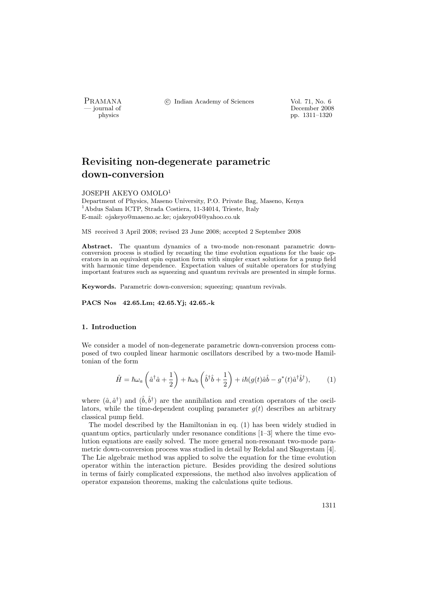PRAMANA <sup>C</sup> Indian Academy of Sciences Vol. 71, No. 6<br>
— iournal of December 2008

physics and the contract of the person of the December 2008 physics and the person of the December 2008 pp. 1311–1320 pp. 1311–1320

# Revisiting non-degenerate parametric down-conversion

#### JOSEPH AKEYO OMOLO<sup>1</sup>

Department of Physics, Maseno University, P.O. Private Bag, Maseno, Kenya <sup>1</sup>Abdus Salam ICTP, Strada Costiera, 11-34014, Trieste, Italy E-mail: ojakeyo@maseno.ac.ke; ojakeyo04@yahoo.co.uk

MS received 3 April 2008; revised 23 June 2008; accepted 2 September 2008

Abstract. The quantum dynamics of a two-mode non-resonant parametric downconversion process is studied by recasting the time evolution equations for the basic operators in an equivalent spin equation form with simpler exact solutions for a pump field with harmonic time dependence. Expectation values of suitable operators for studying important features such as squeezing and quantum revivals are presented in simple forms.

Keywords. Parametric down-conversion; squeezing; quantum revivals.

PACS Nos 42.65.Lm; 42.65.Yj; 42.65.-k

#### 1. Introduction

We consider a model of non-degenerate parametric down-conversion process composed of two coupled linear harmonic oscillators described by a two-mode Hamiltonian of the form

$$
\hat{H} = \hbar\omega_a \left(\hat{a}^\dagger \hat{a} + \frac{1}{2}\right) + \hbar\omega_b \left(\hat{b}^\dagger \hat{b} + \frac{1}{2}\right) + i\hbar(g(t)\hat{a}\hat{b} - g^*(t)\hat{a}^\dagger \hat{b}^\dagger),\tag{1}
$$

where  $(\hat{a}, \hat{a}^{\dagger})$  and  $(\hat{b}, \hat{b}^{\dagger})$  are the annihilation and creation operators of the oscillators, while the time-dependent coupling parameter  $q(t)$  describes an arbitrary classical pump field.

The model described by the Hamiltonian in eq. (1) has been widely studied in quantum optics, particularly under resonance conditions [1–3] where the time evolution equations are easily solved. The more general non-resonant two-mode parametric down-conversion process was studied in detail by Rekdal and Skagerstam [4]. The Lie algebraic method was applied to solve the equation for the time evolution operator within the interaction picture. Besides providing the desired solutions in terms of fairly complicated expressions, the method also involves application of operator expansion theorems, making the calculations quite tedious.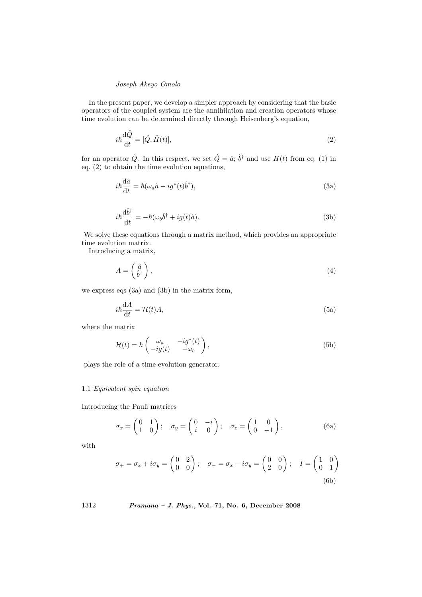In the present paper, we develop a simpler approach by considering that the basic operators of the coupled system are the annihilation and creation operators whose time evolution can be determined directly through Heisenberg's equation,

$$
i\hbar \frac{\mathrm{d}\hat{Q}}{\mathrm{d}t} = [\hat{Q}, \hat{H}(t)],\tag{2}
$$

for an operator  $\hat{Q}$ . In this respect, we set  $\hat{Q} = \hat{a}$ ;  $\hat{b}^{\dagger}$  and use  $H(t)$  from eq. (1) in eq. (2) to obtain the time evolution equations,

$$
i\hbar \frac{\mathrm{d}\hat{a}}{\mathrm{d}t} = \hbar (\omega_a \hat{a} - ig^*(t)\hat{b}^\dagger), \tag{3a}
$$

$$
i\hbar \frac{\mathrm{d}\hat{b}^{\dagger}}{\mathrm{d}t} = -\hbar(\omega_b \hat{b}^{\dagger} + ig(t)\hat{a}).\tag{3b}
$$

We solve these equations through a matrix method, which provides an appropriate time evolution matrix.

Introducing a matrix,

$$
A = \left(\begin{array}{c} \hat{a} \\ \hat{b}^{\dagger} \end{array}\right),\tag{4}
$$

we express eqs (3a) and (3b) in the matrix form,

$$
i\hbar \frac{\mathrm{d}A}{\mathrm{d}t} = \mathcal{H}(t)A,\tag{5a}
$$

where the matrix

$$
\mathcal{H}(t) = \hbar \begin{pmatrix} \omega_a & -ig^*(t) \\ -ig(t) & -\omega_b \end{pmatrix},\tag{5b}
$$

plays the role of a time evolution generator.

# 1.1 Equivalent spin equation

Introducing the Pauli matrices

$$
\sigma_x = \begin{pmatrix} 0 & 1 \\ 1 & 0 \end{pmatrix}; \quad \sigma_y = \begin{pmatrix} 0 & -i \\ i & 0 \end{pmatrix}; \quad \sigma_z = \begin{pmatrix} 1 & 0 \\ 0 & -1 \end{pmatrix}, \tag{6a}
$$

with

$$
\sigma_{+} = \sigma_{x} + i\sigma_{y} = \begin{pmatrix} 0 & 2 \\ 0 & 0 \end{pmatrix}; \quad \sigma_{-} = \sigma_{x} - i\sigma_{y} = \begin{pmatrix} 0 & 0 \\ 2 & 0 \end{pmatrix}; \quad I = \begin{pmatrix} 1 & 0 \\ 0 & 1 \end{pmatrix}
$$
\n(6b)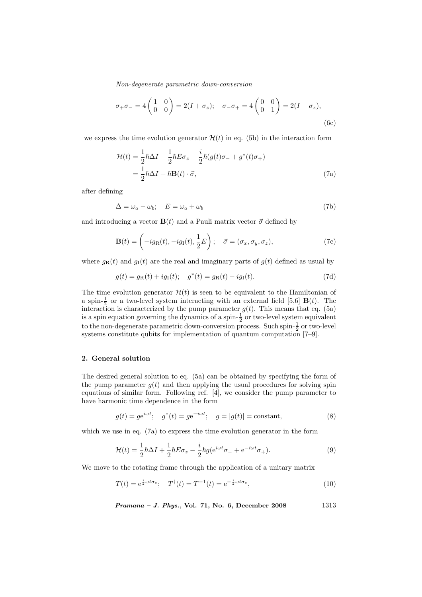$$
\sigma_{+}\sigma_{-} = 4 \begin{pmatrix} 1 & 0 \\ 0 & 0 \end{pmatrix} = 2(I + \sigma_{z}); \quad \sigma_{-}\sigma_{+} = 4 \begin{pmatrix} 0 & 0 \\ 0 & 1 \end{pmatrix} = 2(I - \sigma_{z}),
$$
\n(6c)

we express the time evolution generator  $\mathcal{H}(t)$  in eq. (5b) in the interaction form

$$
\mathcal{H}(t) = \frac{1}{2}\hbar\Delta I + \frac{1}{2}\hbar E\sigma_z - \frac{i}{2}\hbar(g(t)\sigma_- + g^*(t)\sigma_+)
$$
  
= 
$$
\frac{1}{2}\hbar\Delta I + \hbar \mathbf{B}(t) \cdot \vec{\sigma},
$$
 (7a)

after defining

$$
\Delta = \omega_a - \omega_b; \quad E = \omega_a + \omega_b \tag{7b}
$$

and introducing a vector  $\mathbf{B}(t)$  and a Pauli matrix vector  $\vec{\sigma}$  defined by

$$
\mathbf{B}(t) = \left(-ig_{\mathrm{R}}(t), -ig_{\mathrm{I}}(t), \frac{1}{2}E\right); \quad \vec{\sigma} = (\sigma_x, \sigma_y, \sigma_z),\tag{7c}
$$

where  $g_{\rm R}(t)$  and  $g_{\rm I}(t)$  are the real and imaginary parts of  $g(t)$  defined as usual by

$$
g(t) = g_{R}(t) + ig_{I}(t); \quad g^{*}(t) = g_{R}(t) - ig_{I}(t).
$$
\n(7d)

The time evolution generator  $\mathcal{H}(t)$  is seen to be equivalent to the Hamiltonian of a spin- $\frac{1}{2}$  or a two-level system interacting with an external field [5,6] **B**(*t*). The interaction is characterized by the pump parameter  $g(t)$ . This means that eq. (5a) is a spin equation governing the dynamics of a spin- $\frac{1}{2}$  or two-level system equivalent to the non-degenerate parametric down-conversion process. Such spin- $\frac{1}{2}$  or two-level systems constitute qubits for implementation of quantum computation [7–9].

#### 2. General solution

The desired general solution to eq. (5a) can be obtained by specifying the form of the pump parameter  $g(t)$  and then applying the usual procedures for solving spin equations of similar form. Following ref. [4], we consider the pump parameter to have harmonic time dependence in the form

$$
g(t) = ge^{i\omega t};
$$
  $g^*(t) = ge^{-i\omega t};$   $g = |g(t)| = \text{constant},$  (8)

which we use in eq. (7a) to express the time evolution generator in the form

$$
\mathcal{H}(t) = \frac{1}{2}\hbar\Delta I + \frac{1}{2}\hbar E\sigma_z - \frac{i}{2}\hbar g(e^{i\omega t}\sigma_- + e^{-i\omega t}\sigma_+).
$$
\n(9)

We move to the rotating frame through the application of a unitary matrix

$$
T(t) = e^{\frac{i}{2}\omega t \sigma_z}; \quad T^{\dagger}(t) = T^{-1}(t) = e^{-\frac{i}{2}\omega t \sigma_z}, \tag{10}
$$

Pramana – J. Phys., Vol. 71, No. 6, December 2008 1313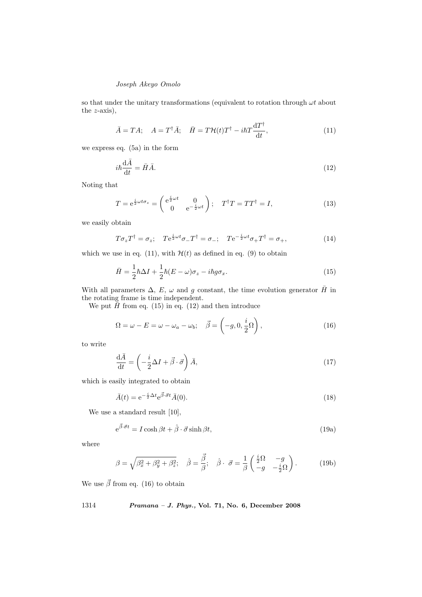so that under the unitary transformations (equivalent to rotation through  $\omega t$  about the  $z$ -axis),

$$
\bar{A} = TA; \quad A = T^{\dagger} \bar{A}; \quad \bar{H} = T\mathcal{H}(t)T^{\dagger} - i\hbar T \frac{\mathrm{d}T^{\dagger}}{\mathrm{d}t},\tag{11}
$$

we express eq. (5a) in the form

$$
i\hbar \frac{\mathrm{d}\bar{A}}{\mathrm{d}t} = \bar{H}\bar{A}.\tag{12}
$$

Noting that

$$
T = e^{\frac{i}{2}\omega t \sigma_z} = \begin{pmatrix} e^{\frac{i}{2}\omega t} & 0\\ 0 & e^{-\frac{i}{2}\omega t} \end{pmatrix}; \quad T^{\dagger}T = TT^{\dagger} = I,
$$
 (13)

we easily obtain

$$
T\sigma_z T^{\dagger} = \sigma_z; \quad T e^{\frac{i}{2}\omega t} \sigma_- T^{\dagger} = \sigma_-; \quad T e^{-\frac{i}{2}\omega t} \sigma_+ T^{\dagger} = \sigma_+, \tag{14}
$$

which we use in eq. (11), with  $\mathcal{H}(t)$  as defined in eq. (9) to obtain

$$
\bar{H} = \frac{1}{2}\hbar\Delta I + \frac{1}{2}\hbar(E-\omega)\sigma_z - i\hbar g\sigma_x.
$$
\n(15)

With all parameters  $\Delta$ , E,  $\omega$  and g constant, the time evolution generator  $\bar{H}$  in the rotating frame is time independent.

We put  $\bar{H}$  from eq. (15) in eq. (12) and then introduce

$$
\Omega = \omega - E = \omega - \omega_a - \omega_b; \quad \vec{\beta} = \left( -g, 0, \frac{i}{2} \Omega \right), \tag{16}
$$

to write

$$
\frac{\mathrm{d}\bar{A}}{\mathrm{d}t} = \left(-\frac{i}{2}\Delta I + \vec{\beta} \cdot \vec{\sigma}\right)\bar{A},\tag{17}
$$

which is easily integrated to obtain

$$
\bar{A}(t) = e^{-\frac{i}{2}\Delta t}e^{\vec{\beta}\cdot\vec{\sigma}t}\bar{A}(0). \tag{18}
$$

We use a standard result [10],

$$
e^{\vec{\beta}\cdot\vec{\sigma}t} = I\cosh\beta t + \hat{\beta}\cdot\vec{\sigma}\sinh\beta t,\tag{19a}
$$

where

$$
\beta = \sqrt{\beta_x^2 + \beta_y^2 + \beta_z^2}; \quad \hat{\beta} = \frac{\vec{\beta}}{\beta}; \quad \hat{\beta} \cdot \vec{\sigma} = \frac{1}{\beta} \begin{pmatrix} \frac{i}{2} \Omega & -g\\ -g & -\frac{i}{2} \Omega \end{pmatrix}.
$$
 (19b)

We use  $\vec{\beta}$  from eq. (16) to obtain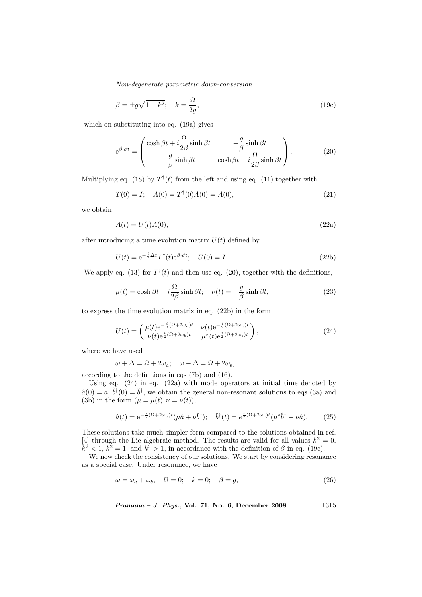$$
\beta = \pm g \sqrt{1 - k^2}; \quad k = \frac{\Omega}{2g},\tag{19c}
$$

which on substituting into eq. (19a) gives

$$
e^{\vec{\beta}\cdot\vec{\sigma}t} = \begin{pmatrix} \cosh\beta t + i\frac{\Omega}{2\beta}\sinh\beta t & -\frac{g}{\beta}\sinh\beta t \\ -\frac{g}{\beta}\sinh\beta t & \cosh\beta t - i\frac{\Omega}{2\beta}\sinh\beta t \end{pmatrix}.
$$
 (20)

Multiplying eq. (18) by  $T^{\dagger}(t)$  from the left and using eq. (11) together with

$$
T(0) = I; \quad A(0) = T^{\dagger}(0)\bar{A}(0) = \bar{A}(0), \tag{21}
$$

we obtain

$$
A(t) = U(t)A(0),\tag{22a}
$$

after introducing a time evolution matrix  $U(t)$  defined by

$$
U(t) = e^{-\frac{i}{2}\Delta t}T^{\dagger}(t)e^{\vec{\beta}\cdot\vec{\sigma}t}; \quad U(0) = I.
$$
\n(22b)

We apply eq. (13) for  $T^{\dagger}(t)$  and then use eq. (20), together with the definitions,

$$
\mu(t) = \cosh\beta t + i\frac{\Omega}{2\beta}\sinh\beta t; \quad \nu(t) = -\frac{g}{\beta}\sinh\beta t,\tag{23}
$$

to express the time evolution matrix in eq. (22b) in the form

$$
U(t) = \begin{pmatrix} \mu(t)e^{-\frac{i}{2}(\Omega + 2\omega_a)t} & \nu(t)e^{-\frac{i}{2}(\Omega + 2\omega_a)t} \\ \nu(t)e^{\frac{i}{2}(\Omega + 2\omega_b)t} & \mu^*(t)e^{\frac{i}{2}(\Omega + 2\omega_b)t} \end{pmatrix},
$$
\n(24)

where we have used

$$
\omega + \Delta = \Omega + 2\omega_a; \quad \omega - \Delta = \Omega + 2\omega_b,
$$

according to the definitions in eqs (7b) and (16).

Using eq. (24) in eq. (22a) with mode operators at initial time denoted by  $\hat{a}(0) = \hat{a}, \hat{b}^{\dagger}(0) = \hat{b}^{\dagger}$ , we obtain the general non-resonant solutions to eqs (3a) and (3b) in the form  $(\mu = \mu(t), \nu = \nu(t)),$ 

$$
\hat{a}(t) = e^{-\frac{i}{2}(\Omega + 2\omega_a)t}(\mu \hat{a} + \nu \hat{b}^{\dagger}); \quad \hat{b}^{\dagger}(t) = e^{\frac{i}{2}(\Omega + 2\omega_b)t}(\mu^* \hat{b}^{\dagger} + \nu \hat{a}). \tag{25}
$$

These solutions take much simpler form compared to the solutions obtained in ref. [4] through the Lie algebraic method. The results are valid for all values  $k^2 = 0$ ,  $k^2 < 1, k^2 = 1$ , and  $k^2 > 1$ , in accordance with the definition of  $\beta$  in eq. (19c).

We now check the consistency of our solutions. We start by considering resonance as a special case. Under resonance, we have

$$
\omega = \omega_a + \omega_b, \quad \Omega = 0; \quad k = 0; \quad \beta = g,\tag{26}
$$

Pramana – J. Phys., Vol. 71, No. 6, December 2008 1315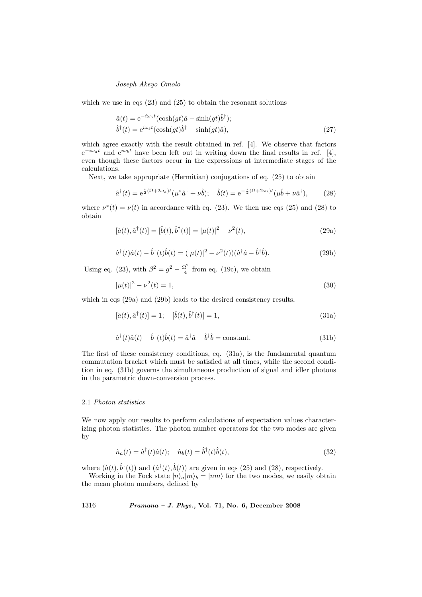which we use in eqs (23) and (25) to obtain the resonant solutions

$$
\hat{a}(t) = e^{-i\omega_a t} (\cosh(gt)\hat{a} - \sinh(gt)\hat{b}^{\dagger});
$$
  
\n
$$
\hat{b}^{\dagger}(t) = e^{i\omega_b t} (\cosh(gt)\hat{b}^{\dagger} - \sinh(gt)\hat{a}),
$$
\n(27)

which agree exactly with the result obtained in ref. [4]. We observe that factors  $e^{-i\omega_a t}$  and  $e^{i\omega_b t}$  have been left out in writing down the final results in ref. [4], even though these factors occur in the expressions at intermediate stages of the calculations.

Next, we take appropriate (Hermitian) conjugations of eq. (25) to obtain

$$
\hat{a}^{\dagger}(t) = e^{\frac{i}{2}(\Omega + 2\omega_a)t}(\mu^*\hat{a}^{\dagger} + \nu\hat{b}); \quad \hat{b}(t) = e^{-\frac{i}{2}(\Omega + 2\omega_b)t}(\mu\hat{b} + \nu\hat{a}^{\dagger}), \tag{28}
$$

where  $\nu^*(t) = \nu(t)$  in accordance with eq. (23). We then use eqs (25) and (28) to obtain

$$
[\hat{a}(t), \hat{a}^{\dagger}(t)] = [\hat{b}(t), \hat{b}^{\dagger}(t)] = |\mu(t)|^2 - \nu^2(t),
$$
\n(29a)

$$
\hat{a}^{\dagger}(t)\hat{a}(t) - \hat{b}^{\dagger}(t)\hat{b}(t) = (|\mu(t)|^2 - \nu^2(t))(\hat{a}^{\dagger}\hat{a} - \hat{b}^{\dagger}\hat{b}).
$$
\n(29b)

Using eq. (23), with  $\beta^2 = g^2 - \frac{\Omega^2}{4}$  $\frac{l^2}{4}$  from eq. (19c), we obtain

$$
|\mu(t)|^2 - \nu^2(t) = 1,\tag{30}
$$

which in eqs (29a) and (29b) leads to the desired consistency results,

$$
[\hat{a}(t), \hat{a}^\dagger(t)] = 1; \quad [\hat{b}(t), \hat{b}^\dagger(t)] = 1,\tag{31a}
$$

$$
\hat{a}^{\dagger}(t)\hat{a}(t) - \hat{b}^{\dagger}(t)\hat{b}(t) = \hat{a}^{\dagger}\hat{a} - \hat{b}^{\dagger}\hat{b} = \text{constant.}
$$
\n(31b)

The first of these consistency conditions, eq. (31a), is the fundamental quantum commutation bracket which must be satisfied at all times, while the second condition in eq. (31b) governs the simultaneous production of signal and idler photons in the parametric down-conversion process.

#### 2.1 Photon statistics

We now apply our results to perform calculations of expectation values characterizing photon statistics. The photon number operators for the two modes are given by

$$
\hat{n}_a(t) = \hat{a}^\dagger(t)\hat{a}(t); \quad \hat{n}_b(t) = \hat{b}^\dagger(t)\hat{b}(t),\tag{32}
$$

where  $(\hat{a}(t), \hat{b}^{\dagger}(t))$  and  $(\hat{a}^{\dagger}(t), \hat{b}(t))$  are given in eqs (25) and (28), respectively.

Working in the Fock state  $|n\rangle_a|m\rangle_b = |nm\rangle$  for the two modes, we easily obtain the mean photon numbers, defined by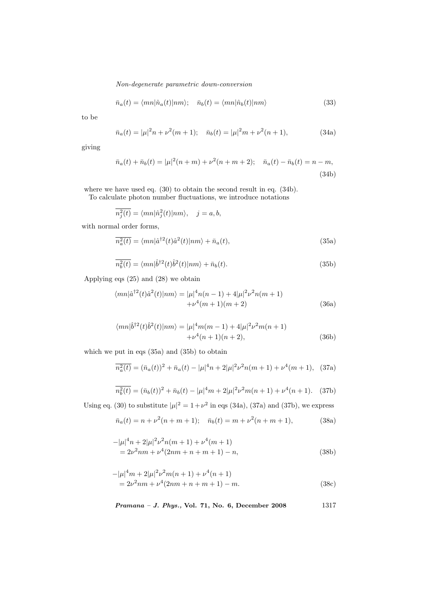$$
\bar{n}_a(t) = \langle mn|\hat{n}_a(t)|nm\rangle; \quad \bar{n}_b(t) = \langle mn|\hat{n}_b(t)|nm\rangle \tag{33}
$$

to be

$$
\bar{n}_a(t) = |\mu|^2 n + \nu^2 (m+1); \quad \bar{n}_b(t) = |\mu|^2 m + \nu^2 (n+1), \tag{34a}
$$

giving

$$
\bar{n}_a(t) + \bar{n}_b(t) = |\mu|^2(n+m) + \nu^2(n+m+2); \quad \bar{n}_a(t) - \bar{n}_b(t) = n - m,
$$
\n(34b)

where we have used eq. (30) to obtain the second result in eq. (34b).

To calculate photon number fluctuations, we introduce notations

$$
\overline{n_j^2(t)} = \langle m n | \hat{n}_j^2(t) | n m \rangle, \quad j = a, b,
$$

with normal order forms,

$$
\overline{n_a^2(t)} = \langle mn|\hat{a}^{\dagger 2}(t)\hat{a}^2(t)|nm\rangle + \bar{n}_a(t),\tag{35a}
$$

$$
\overline{n_b^2(t)} = \langle mn|\hat{b}^{\dagger 2}(t)\hat{b}^2(t)|nm\rangle + \bar{n}_b(t). \tag{35b}
$$

Applying eqs (25) and (28) we obtain

$$
\langle mn|\hat{a}^{\dagger 2}(t)\hat{a}^{2}(t)|nm\rangle = |\mu|^{4}n(n-1) + 4|\mu|^{2}\nu^{2}n(m+1) + \nu^{4}(m+1)(m+2)
$$
\n(36a)

$$
\langle mn|\hat{b}^{\dagger 2}(t)\hat{b}^{2}(t)|nm\rangle = |\mu|^{4}m(m-1) + 4|\mu|^{2}\nu^{2}m(n+1) + \nu^{4}(n+1)(n+2),
$$
\n(36b)

which we put in eqs (35a) and (35b) to obtain

$$
\overline{n_a^2(t)} = (\bar{n}_a(t))^2 + \bar{n}_a(t) - |\mu|^4 n + 2|\mu|^2 \nu^2 n(m+1) + \nu^4(m+1), \quad (37a)
$$

$$
\overline{n_b^2(t)} = (\bar{n}_b(t))^2 + \bar{n}_b(t) - |\mu|^4 m + 2|\mu|^2 \nu^2 m(n+1) + \nu^4(n+1). \tag{37b}
$$

Using eq. (30) to substitute  $|\mu|^2 = 1 + \nu^2$  in eqs (34a), (37a) and (37b), we express

$$
\bar{n}_a(t) = n + \nu^2(n + m + 1); \quad \bar{n}_b(t) = m + \nu^2(n + m + 1), \tag{38a}
$$

$$
-|\mu|^4 n + 2|\mu|^2 \nu^2 n(m+1) + \nu^4 (m+1)
$$
  
=  $2\nu^2 nm + \nu^4 (2nm + n + m + 1) - n,$  (38b)

$$
-|\mu|^4 m + 2|\mu|^2 \nu^2 m(n+1) + \nu^4 (n+1)
$$
  
=  $2\nu^2 nm + \nu^4 (2nm + n + m + 1) - m.$  (38c)

Pramana – J. Phys., Vol. 71, No. 6, December 2008 1317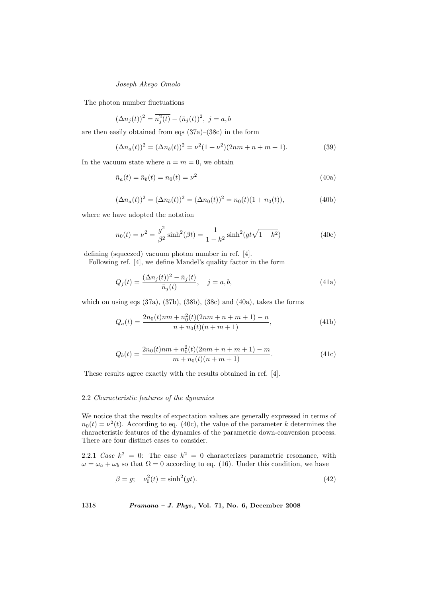The photon number fluctuations

$$
(\Delta n_j(t))^2 = \overline{n_j^2(t)} - (\bar{n}_j(t))^2, \ j = a, b
$$

are then easily obtained from eqs (37a)–(38c) in the form

$$
(\Delta n_a(t))^2 = (\Delta n_b(t))^2 = \nu^2 (1 + \nu^2)(2nm + n + m + 1).
$$
 (39)

In the vacuum state where  $n = m = 0$ , we obtain

$$
\bar{n}_a(t) = \bar{n}_b(t) = n_0(t) = \nu^2
$$
\n(40a)

$$
(\Delta n_a(t))^2 = (\Delta n_b(t))^2 = (\Delta n_0(t))^2 = n_0(t)(1 + n_0(t)),
$$
\n(40b)

where we have adopted the notation

$$
n_0(t) = \nu^2 = \frac{g^2}{\beta^2} \sinh^2(\beta t) = \frac{1}{1 - k^2} \sinh^2(gt\sqrt{1 - k^2})
$$
 (40c)

defining (squeezed) vacuum photon number in ref. [4].

Following ref. [4], we define Mandel's quality factor in the form

$$
Q_j(t) = \frac{(\Delta n_j(t))^2 - \bar{n}_j(t)}{\bar{n}_j(t)}, \quad j = a, b,
$$
\n(41a)

which on using eqs  $(37a)$ ,  $(37b)$ ,  $(38b)$ ,  $(38c)$  and  $(40a)$ , takes the forms

$$
Q_a(t) = \frac{2n_0(t)nm + n_0^2(t)(2nm + n + m + 1) - n}{n + n_0(t)(n + m + 1)},
$$
\n(41b)

$$
Q_b(t) = \frac{2n_0(t)nm + n_0^2(t)(2nm + n + m + 1) - m}{m + n_0(t)(n + m + 1)}.
$$
\n(41c)

These results agree exactly with the results obtained in ref. [4].

### 2.2 Characteristic features of the dynamics

We notice that the results of expectation values are generally expressed in terms of  $n_0(t) = \nu^2(t)$ . According to eq. (40c), the value of the parameter k determines the characteristic features of the dynamics of the parametric down-conversion process. There are four distinct cases to consider.

2.2.1 Case  $k^2 = 0$ : The case  $k^2 = 0$  characterizes parametric resonance, with  $\omega = \omega_a + \omega_b$  so that  $\Omega = 0$  according to eq. (16). Under this condition, we have

$$
\beta = g; \quad \nu_0^2(t) = \sinh^2(gt). \tag{42}
$$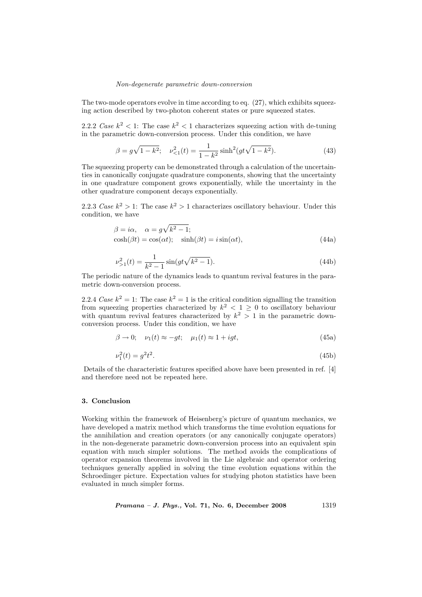The two-mode operators evolve in time according to eq.  $(27)$ , which exhibits squeezing action described by two-photon coherent states or pure squeezed states.

2.2.2 Case  $k^2 < 1$ : The case  $k^2 < 1$  characterizes squeezing action with de-tuning in the parametric down-conversion process. Under this condition, we have

$$
\beta = g\sqrt{1 - k^2}; \quad \nu_{\le 1}^2(t) = \frac{1}{1 - k^2} \sinh^2(gt\sqrt{1 - k^2}).\tag{43}
$$

The squeezing property can be demonstrated through a calculation of the uncertainties in canonically conjugate quadrature components, showing that the uncertainty in one quadrature component grows exponentially, while the uncertainty in the other quadrature component decays exponentially.

2.2.3 Case  $k^2 > 1$ : The case  $k^2 > 1$  characterizes oscillatory behaviour. Under this condition, we have

$$
\beta = i\alpha, \quad \alpha = g\sqrt{k^2 - 1};
$$
  
\n
$$
\cosh(\beta t) = \cos(\alpha t); \quad \sinh(\beta t) = i\sin(\alpha t),
$$
\n(44a)

$$
\nu_{>1}^2(t) = \frac{1}{k^2 - 1} \sin(gt\sqrt{k^2 - 1}).\tag{44b}
$$

The periodic nature of the dynamics leads to quantum revival features in the parametric down-conversion process.

2.2.4 Case  $k^2 = 1$ : The case  $k^2 = 1$  is the critical condition signalling the transition from squeezing properties characterized by  $k^2 < 1 \geq 0$  to oscillatory behaviour with quantum revival features characterized by  $k^2 > 1$  in the parametric downconversion process. Under this condition, we have

$$
\beta \to 0; \quad \nu_1(t) \approx -gt; \quad \mu_1(t) \approx 1 + igt; \tag{45a}
$$

$$
\nu_1^2(t) = g^2 t^2. \tag{45b}
$$

Details of the characteristic features specified above have been presented in ref. [4] and therefore need not be repeated here.

## 3. Conclusion

Working within the framework of Heisenberg's picture of quantum mechanics, we have developed a matrix method which transforms the time evolution equations for the annihilation and creation operators (or any canonically conjugate operators) in the non-degenerate parametric down-conversion process into an equivalent spin equation with much simpler solutions. The method avoids the complications of operator expansion theorems involved in the Lie algebraic and operator ordering techniques generally applied in solving the time evolution equations within the Schroedinger picture. Expectation values for studying photon statistics have been evaluated in much simpler forms.